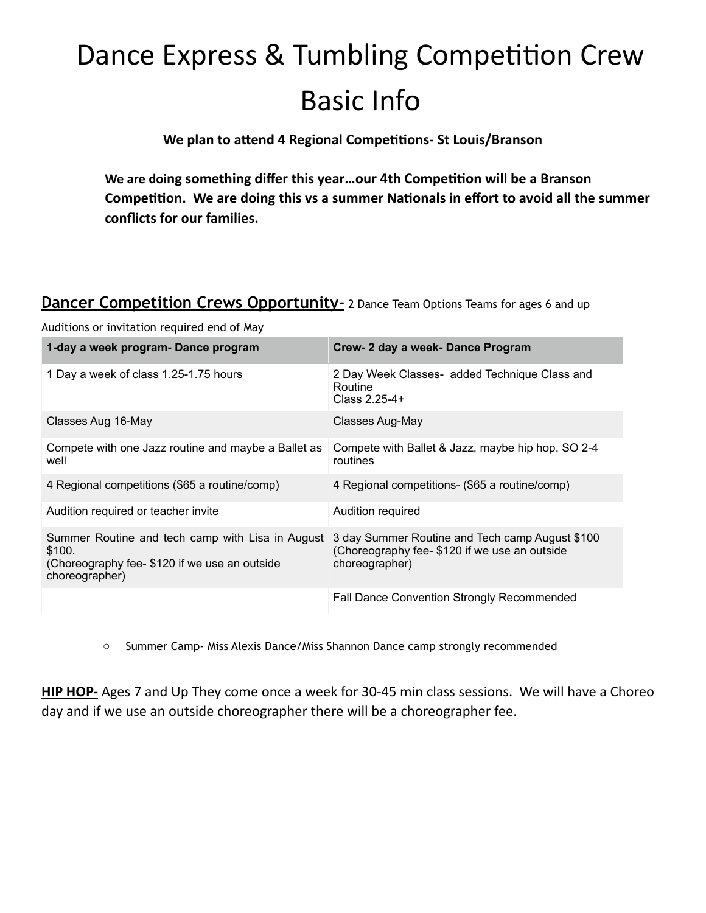## Dance Express & Tumbling Competition Crew Basic Info

**We plan to attend 4 Regional Competitions- St Louis/Branson** 

**We are doing something differ this year…our 4th Competition will be a Branson Competition. We are doing this vs a summer Nationals in effort to avoid all the summer conflicts for our families.**

#### **Dancer Competition Crews Opportunity-** 2 Dance Team Options Teams for ages 6 and up

Auditions or invitation required end of May

| 1-day a week program- Dance program                                                                                           | Crew- 2 day a week- Dance Program                                                                                 |
|-------------------------------------------------------------------------------------------------------------------------------|-------------------------------------------------------------------------------------------------------------------|
| 1 Day a week of class 1.25-1.75 hours                                                                                         | 2 Day Week Classes- added Technique Class and<br>Routine<br>Class 2.25-4+                                         |
| Classes Aug 16-May                                                                                                            | Classes Aug-May                                                                                                   |
| Compete with one Jazz routine and maybe a Ballet as<br>well                                                                   | Compete with Ballet & Jazz, maybe hip hop, SO 2-4<br>routines                                                     |
| 4 Regional competitions (\$65 a routine/comp)                                                                                 | 4 Regional competitions- (\$65 a routine/comp)                                                                    |
| Audition required or teacher invite                                                                                           | Audition required                                                                                                 |
| Summer Routine and tech camp with Lisa in August<br>\$100.<br>(Choreography fee- \$120 if we use an outside<br>choreographer) | 3 day Summer Routine and Tech camp August \$100<br>(Choreography fee-\$120 if we use an outside<br>choreographer) |
|                                                                                                                               | <b>Fall Dance Convention Strongly Recommended</b>                                                                 |

o Summer Camp- Miss Alexis Dance/Miss Shannon Dance camp strongly recommended

**HIP HOP-** Ages 7 and Up They come once a week for 30-45 min class sessions. We will have a Choreo day and if we use an outside choreographer there will be a choreographer fee.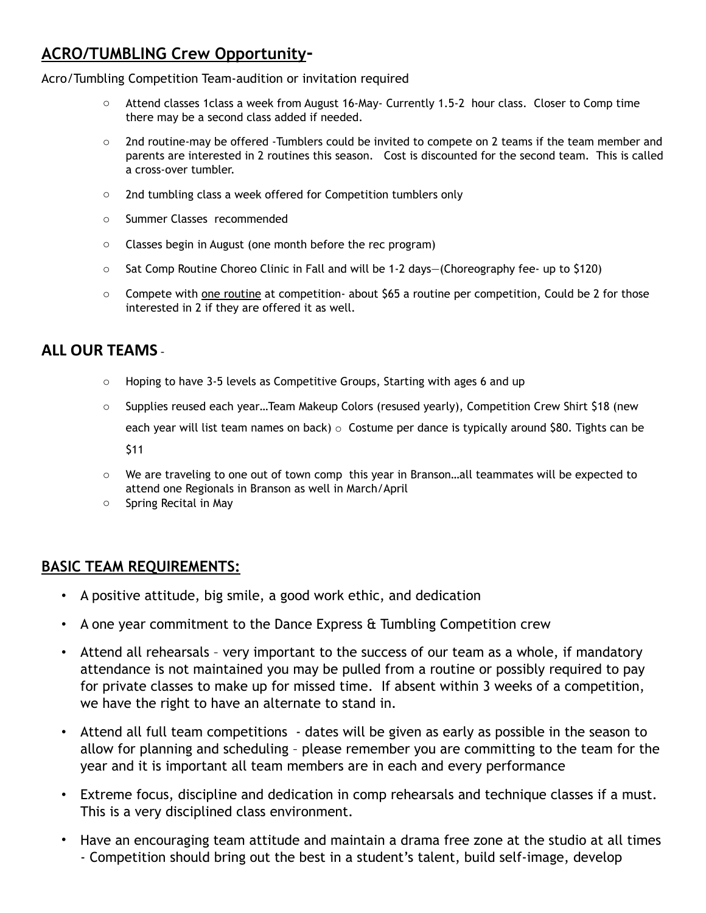#### **ACRO/TUMBLING Crew Opportunity-**

Acro/Tumbling Competition Team-audition or invitation required

- $\circ$  Attend classes 1class a week from August 16-May- Currently 1.5-2 hour class. Closer to Comp time there may be a second class added if needed.
- $\circ$  2nd routine-may be offered -Tumblers could be invited to compete on 2 teams if the team member and parents are interested in 2 routines this season. Cost is discounted for the second team. This is called a cross-over tumbler.
- o 2nd tumbling class a week offered for Competition tumblers only
- o Summer Classes recommended
- o Classes begin in August (one month before the rec program)
- o Sat Comp Routine Choreo Clinic in Fall and will be 1-2 days—(Choreography fee- up to \$120)
- $\circ$  Compete with one routine at competition- about \$65 a routine per competition, Could be 2 for those interested in 2 if they are offered it as well.

#### **ALL OUR TEAMS** -

- $\circ$  Hoping to have 3-5 levels as Competitive Groups, Starting with ages 6 and up
- o Supplies reused each year…Team Makeup Colors (resused yearly), Competition Crew Shirt \$18 (new each year will list team names on back)  $\circ$  Costume per dance is typically around \$80. Tights can be \$11
- o We are traveling to one out of town comp this year in Branson…all teammates will be expected to attend one Regionals in Branson as well in March/April
- o Spring Recital in May

#### **BASIC TEAM REQUIREMENTS:**

- A positive attitude, big smile, a good work ethic, and dedication
- A one year commitment to the Dance Express & Tumbling Competition crew
- Attend all rehearsals very important to the success of our team as a whole, if mandatory attendance is not maintained you may be pulled from a routine or possibly required to pay for private classes to make up for missed time. If absent within 3 weeks of a competition, we have the right to have an alternate to stand in.
- Attend all full team competitions dates will be given as early as possible in the season to allow for planning and scheduling – please remember you are committing to the team for the year and it is important all team members are in each and every performance
- Extreme focus, discipline and dedication in comp rehearsals and technique classes if a must. This is a very disciplined class environment.
- Have an encouraging team attitude and maintain a drama free zone at the studio at all times - Competition should bring out the best in a student's talent, build self-image, develop